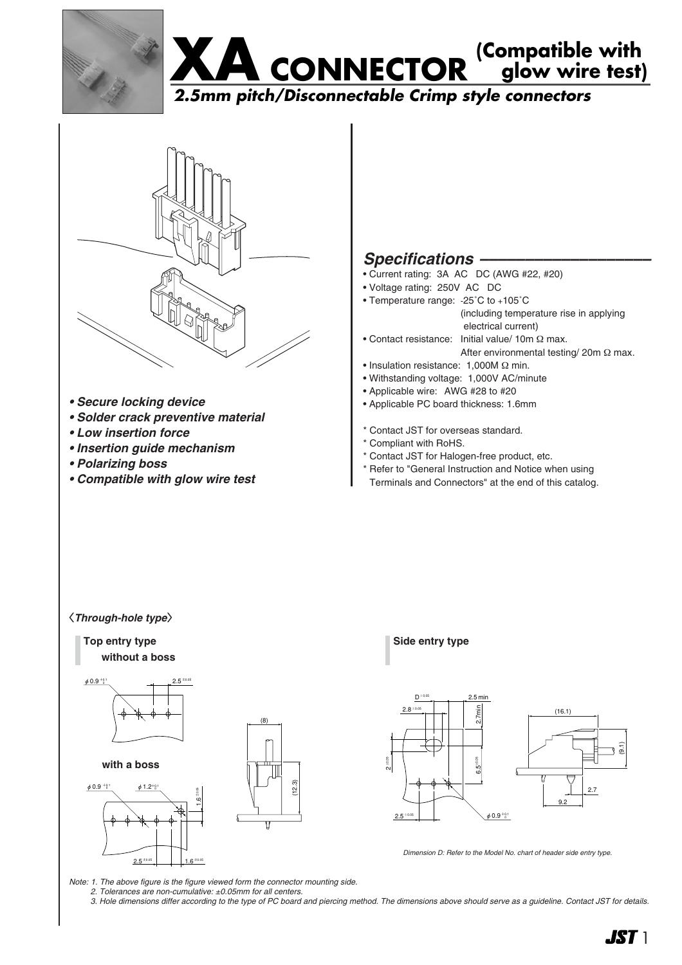





- *Secure locking device*
- *Solder crack preventive material*
- *Low insertion force*
- *Insertion guide mechanism*
- *Polarizing boss*
- *Compatible with glow wire test*

# Specifications -

- Current rating: 3A AC DC (AWG #22, #20)
- Voltage rating: 250V AC DC
- Temperature range: -25˚C to +105˚C (including temperature rise in applying
	- electrical current)
- Contact resistance: Initial value/ 10m Ω max. After environmental testing/ 20m Ω max.
- Insulation resistance: 1,000M Ω min.
- Withstanding voltage: 1,000V AC/minute
- Applicable wire: AWG #28 to #20
- Applicable PC board thickness: 1.6mm
- \* Contact JST for overseas standard.
- \* Compliant with RoHS.
- \* Contact JST for Halogen-free product, etc.
- \* Refer to "General Instruction and Notice when using
- Terminals and Connectors" at the end of this catalog.

#### 〈*Through-hole type*〉

**Top entry type Side entry type without a boss**





*Dimension D: Refer to the Model No. chart of header side entry type.*

*Note: 1. The above figure is the figure viewed form the connector mounting side.*

(12.3)

*2. Tolerances are non-cumulative: ±0.05mm for all centers.* 

*3. Hole dimensions differ according to the type of PC board and piercing method. The dimensions above should serve as a guideline. Contact JST for details.*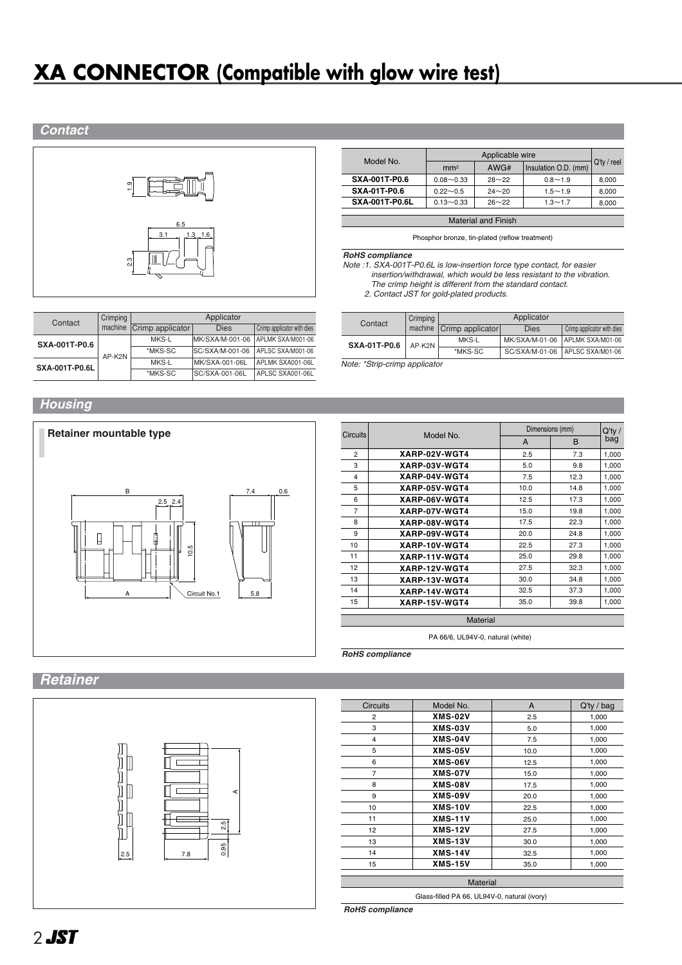# **XA CONNECTOR (Compatible with glow wire test)**





| Model No.             |                 |           |                      |                |
|-----------------------|-----------------|-----------|----------------------|----------------|
|                       | mm <sup>2</sup> | AWG#      | Insulation O.D. (mm) | $Q'$ ty / reel |
| SXA-001T-P0.6         | $0.08 - 0.33$   | $28 - 22$ | $0.8 - 1.9$          | 8,000          |
| <b>SXA-01T-P0.6</b>   | $0.22 - 0.5$    | $24 - 20$ | $1.5 - 1.9$          | 8.000          |
| <b>SXA-001T-P0.6L</b> | $0.13 - 0.33$   | $26 - 22$ | $1.3 - 1.7$          | 8,000          |
|                       |                 |           |                      |                |

Material and Finish

Phosphor bronze, tin-plated (reflow treatment)

*RoHS compliance*

*Note :1. SXA-001T-P0.6L is low-insertion force type contact, for easier insertion/withdrawal, which would be less resistant to the vibration. The crimp height is different from the standard contact.*

*Note :2. Contact JST for gold-plated products.* 

| Contact               |  | Crimping | Applicator       |                   |                            |  |
|-----------------------|--|----------|------------------|-------------------|----------------------------|--|
|                       |  | machine  | Crimp applicator | <b>Dies</b>       | Crimp applicator with dies |  |
| SXA-001T-P0.6         |  | MKS-L    | MK/SXA/M-001-06  | APLMK SXA/M001-06 |                            |  |
|                       |  | AP-K2N   | *MKS-SC          | SC/SXA/M-001-06   | APLSC SXA/M001-06          |  |
| <b>SXA-001T-P0.6L</b> |  | MKS-L    | MK/SXA-001-06L   | APLMK SXA001-06L  |                            |  |
|                       |  | *MKS-SC  | SC/SXA-001-06L   | APLSC SXA001-06L  |                            |  |

|  | Contact                                                                                                                                                                                                                                                                                                     | Crimping | Applicator                 |      |                                 |  |  |
|--|-------------------------------------------------------------------------------------------------------------------------------------------------------------------------------------------------------------------------------------------------------------------------------------------------------------|----------|----------------------------|------|---------------------------------|--|--|
|  |                                                                                                                                                                                                                                                                                                             |          | machine   Crimp applicator | Dies | Crimp applicator with dies      |  |  |
|  | <b>SXA-01T-P0.6</b>                                                                                                                                                                                                                                                                                         | AP-K2N   | MKS-L                      |      | MK/SXA/M-01-06 APLMK SXA/M01-06 |  |  |
|  |                                                                                                                                                                                                                                                                                                             |          | *MKS-SC                    |      | SC/SXA/M-01-06 APLSC SXA/M01-06 |  |  |
|  | $\mathbf{A}$ , $\mathbf{A}$ , $\mathbf{A}$ , $\mathbf{A}$ , $\mathbf{A}$ , $\mathbf{A}$ , $\mathbf{A}$ , $\mathbf{A}$ , $\mathbf{A}$ , $\mathbf{A}$ , $\mathbf{A}$ , $\mathbf{A}$ , $\mathbf{A}$ , $\mathbf{A}$ , $\mathbf{A}$ , $\mathbf{A}$ , $\mathbf{A}$ , $\mathbf{A}$ , $\mathbf{A}$ , $\mathbf{A}$ , |          |                            |      |                                 |  |  |

*Note: \*Strip-crimp applicator*

## *Housing*



| <b>Circuits</b> | Model No.       | Dimensions (mm) |              | $Q'$ ty / |  |  |  |
|-----------------|-----------------|-----------------|--------------|-----------|--|--|--|
|                 |                 | A               | <sub>B</sub> | bag       |  |  |  |
| $\overline{2}$  | XARP-02V-WGT4   | 2.5             | 7.3          | 1,000     |  |  |  |
| 3               | XARP-03V-WGT4   | 5.0             | 9.8          | 1,000     |  |  |  |
| 4               | XARP-04V-WGT4   | 7.5             | 12.3         | 1,000     |  |  |  |
| 5               | XARP-05V-WGT4   | 10.0            | 14.8         | 1,000     |  |  |  |
| 6               | XARP-06V-WGT4   | 12.5            | 17.3         | 1,000     |  |  |  |
| 7               | XARP-07V-WGT4   | 15.0            | 19.8         | 1,000     |  |  |  |
| 8               | XARP-08V-WGT4   | 17.5            | 22.3         | 1,000     |  |  |  |
| 9               | XARP-09V-WGT4   | 20.0            | 24.8         | 1,000     |  |  |  |
| 10              | XARP-10V-WGT4   | 22.5            | 27.3         | 1,000     |  |  |  |
| 11              | XARP-11V-WGT4   | 25.0            | 29.8         | 1,000     |  |  |  |
| 12              | XARP-12V-WGT4   | 27.5            | 32.3         | 1,000     |  |  |  |
| 13              | XARP-13V-WGT4   | 30.0            | 34.8         | 1,000     |  |  |  |
| 14              | XARP-14V-WGT4   | 32.5            | 37.3         | 1,000     |  |  |  |
| 15              | XARP-15V-WGT4   | 35.0            | 39.8         | 1,000     |  |  |  |
|                 | <b>Material</b> |                 |              |           |  |  |  |

PA 66/6, UL94V-0, natural (white)

*RoHS compliance*

# *Retainer*



| <b>Circuits</b> | Model No.      | A    | $Q'$ ty / bag |  |
|-----------------|----------------|------|---------------|--|
| $\overline{2}$  | <b>XMS-02V</b> | 2.5  | 1,000         |  |
| 3               | <b>XMS-03V</b> | 5.0  | 1,000         |  |
| 4               | <b>XMS-04V</b> | 7.5  | 1,000         |  |
| 5               | <b>XMS-05V</b> | 10.0 | 1,000         |  |
| 6               | <b>XMS-06V</b> | 12.5 | 1,000         |  |
| $\overline{7}$  | <b>XMS-07V</b> | 15.0 | 1,000         |  |
| 8               | <b>XMS-08V</b> | 17.5 | 1,000         |  |
| 9               | <b>XMS-09V</b> | 20.0 | 1,000         |  |
| 10              | <b>XMS-10V</b> | 22.5 | 1,000         |  |
| 11              | <b>XMS-11V</b> | 25.0 | 1,000         |  |
| 12              | <b>XMS-12V</b> | 27.5 | 1,000         |  |
| 13              | <b>XMS-13V</b> | 30.0 | 1,000         |  |
| 14              | <b>XMS-14V</b> | 32.5 | 1,000         |  |
| 15              | <b>XMS-15V</b> | 35.0 | 1,000         |  |
| <b>Material</b> |                |      |               |  |

*RoHS compliance*